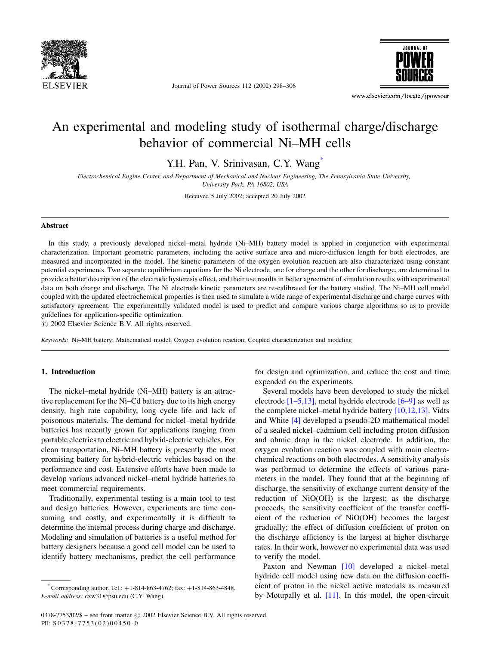

Journal of Power Sources 112 (2002) 298–306



www.elsevier.com/locate/jpowsour

# An experimental and modeling study of isothermal charge/discharge behavior of commercial Ni–MH cells

Y.H. Pan, V. Srinivasan, C.Y. Wang<sup>\*</sup>

Electrochemical Engine Center, and Department of Mechanical and Nuclear Engineering, The Pennsylvania State University, University Park, PA 16802, USA

Received 5 July 2002; accepted 20 July 2002

#### Abstract

In this study, a previously developed nickel–metal hydride (Ni–MH) battery model is applied in conjunction with experimental characterization. Important geometric parameters, including the active surface area and micro-diffusion length for both electrodes, are measured and incorporated in the model. The kinetic parameters of the oxygen evolution reaction are also characterized using constant potential experiments. Two separate equilibrium equations for the Ni electrode, one for charge and the other for discharge, are determined to provide a better description of the electrode hysteresis effect, and their use results in better agreement of simulation results with experimental data on both charge and discharge. The Ni electrode kinetic parameters are re-calibrated for the battery studied. The Ni–MH cell model coupled with the updated electrochemical properties is then used to simulate a wide range of experimental discharge and charge curves with satisfactory agreement. The experimentally validated model is used to predict and compare various charge algorithms so as to provide guidelines for application-specific optimization.

 $\circ$  2002 Elsevier Science B.V. All rights reserved.

Keywords: Ni–MH battery; Mathematical model; Oxygen evolution reaction; Coupled characterization and modeling

### 1. Introduction

The nickel–metal hydride (Ni–MH) battery is an attractive replacement for the Ni–Cd battery due to its high energy density, high rate capability, long cycle life and lack of poisonous materials. The demand for nickel–metal hydride batteries has recently grown for applications ranging from portable electrics to electric and hybrid-electric vehicles. For clean transportation, Ni–MH battery is presently the most promising battery for hybrid-electric vehicles based on the performance and cost. Extensive efforts have been made to develop various advanced nickel–metal hydride batteries to meet commercial requirements.

Traditionally, experimental testing is a main tool to test and design batteries. However, experiments are time consuming and costly, and experimentally it is difficult to determine the internal process during charge and discharge. Modeling and simulation of batteries is a useful method for battery designers because a good cell model can be used to identify battery mechanisms, predict the cell performance

for design and optimization, and reduce the cost and time expended on the experiments.

Several models have been developed to study the nickel electrode  $[1-5,13]$ , metal hydride electrode  $[6-9]$  as well as the complete nickel–metal hydride battery [\[10,12,13\].](#page-8-0) Vidts and White [\[4\]](#page-8-0) developed a pseudo-2D mathematical model of a sealed nickel–cadmium cell including proton diffusion and ohmic drop in the nickel electrode. In addition, the oxygen evolution reaction was coupled with main electrochemical reactions on both electrodes. A sensitivity analysis was performed to determine the effects of various parameters in the model. They found that at the beginning of discharge, the sensitivity of exchange current density of the reduction of NiO(OH) is the largest; as the discharge proceeds, the sensitivity coefficient of the transfer coefficient of the reduction of NiO(OH) becomes the largest gradually; the effect of diffusion coefficient of proton on the discharge efficiency is the largest at higher discharge rates. In their work, however no experimental data was used to verify the model.

Paxton and Newman [\[10\]](#page-8-0) developed a nickel–metal hydride cell model using new data on the diffusion coefficient of proton in the nickel active materials as measured by Motupally et al. [\[11\].](#page-8-0) In this model, the open-circuit

 $^*$ Corresponding author. Tel.:  $+1-814-863-4762$ ; fax:  $+1-814-863-4848$ . E-mail address: cxw31@psu.edu (C.Y. Wang).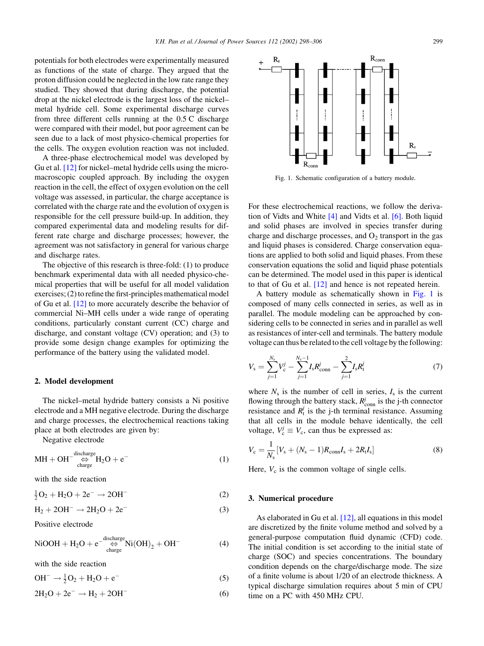potentials for both electrodes were experimentally measured as functions of the state of charge. They argued that the proton diffusion could be neglected in the low rate range they studied. They showed that during discharge, the potential drop at the nickel electrode is the largest loss of the nickel– metal hydride cell. Some experimental discharge curves from three different cells running at the 0.5 C discharge were compared with their model, but poor agreement can be seen due to a lack of most physico-chemical properties for the cells. The oxygen evolution reaction was not included.

A three-phase electrochemical model was developed by Gu et al. [\[12\]](#page-8-0) for nickel–metal hydride cells using the micromacroscopic coupled approach. By including the oxygen reaction in the cell, the effect of oxygen evolution on the cell voltage was assessed, in particular, the charge acceptance is correlated with the charge rate and the evolution of oxygen is responsible for the cell pressure build-up. In addition, they compared experimental data and modeling results for different rate charge and discharge processes; however, the agreement was not satisfactory in general for various charge and discharge rates.

The objective of this research is three-fold: (1) to produce benchmark experimental data with all needed physico-chemical properties that will be useful for all model validation exercises; (2) to refine the first-principles mathematical model of Gu et al. [\[12\]](#page-8-0) to more accurately describe the behavior of commercial Ni–MH cells under a wide range of operating conditions, particularly constant current (CC) charge and discharge, and constant voltage (CV) operation; and (3) to provide some design change examples for optimizing the performance of the battery using the validated model.

### 2. Model development

The nickel–metal hydride battery consists a Ni positive electrode and a MH negative electrode. During the discharge and charge processes, the electrochemical reactions taking place at both electrodes are given by:

Negative electrode

$$
MH + OH^{-\text{discharge}}_{\text{charge}} H_2O + e^-
$$
 (1)

with the side reaction

$$
\frac{1}{2}O_2 + H_2O + 2e^- \to 2OH^-
$$
 (2)

$$
H_2 + 2OH^- \rightarrow 2H_2O + 2e^-
$$
 (3)

Positive electrode

$$
\text{NiOOH} + \text{H}_2\text{O} + \text{e}^{-\frac{\text{discharge}}{\text{charge}}}\text{Ni(OH)}_2 + \text{OH}^- \tag{4}
$$

with the side reaction

 $OH^- \rightarrow \frac{1}{2}O_2 + H_2O + e^ \overline{\hspace{1cm}}$  (5)

$$
2H_2O + 2e^- \rightarrow H_2 + 2OH^-
$$
 (6)



Fig. 1. Schematic configuration of a battery module.

For these electrochemical reactions, we follow the derivation of Vidts and White [\[4\]](#page-8-0) and Vidts et al. [\[6\].](#page-8-0) Both liquid and solid phases are involved in species transfer during charge and discharge processes, and  $O_2$  transport in the gas and liquid phases is considered. Charge conservation equations are applied to both solid and liquid phases. From these conservation equations the solid and liquid phase potentials can be determined. The model used in this paper is identical to that of Gu et al. [\[12\]](#page-8-0) and hence is not repeated herein.

A battery module as schematically shown in Fig. 1 is composed of many cells connected in series, as well as in parallel. The module modeling can be approached by considering cells to be connected in series and in parallel as well as resistances of inter-cell and terminals. The battery module voltage can thus be related to the cell voltage by the following:

$$
V_{\rm s} = \sum_{j=1}^{N_{\rm s}} V_{\rm c}^j - \sum_{j=1}^{N_{\rm s}-1} I_{\rm s} R_{\rm conn}^j - \sum_{j=1}^2 I_{\rm s} R_{\rm t}^j \tag{7}
$$

where  $N_s$  is the number of cell in series,  $I_s$  is the current flowing through the battery stack,  $R_{\text{conn}}^j$  is the j-th connector resistance and  $R_t^j$  is the j-th terminal resistance. Assuming that all cells in the module behave identically, the cell voltage,  $V_c^j \equiv V_c$ , can thus be expressed as:

$$
V_{\rm c} = \frac{1}{N_{\rm s}} \left[ V_{\rm s} + (N_{\rm s} - 1) R_{\rm conn} I_{\rm s} + 2R_{\rm t} I_{\rm s} \right]
$$
 (8)

Here,  $V_c$  is the common voltage of single cells.

#### 3. Numerical procedure

As elaborated in Gu et al. [\[12\]](#page-8-0), all equations in this model are discretized by the finite volume method and solved by a general-purpose computation fluid dynamic (CFD) code. The initial condition is set according to the initial state of charge (SOC) and species concentrations. The boundary condition depends on the charge/discharge mode. The size of a finite volume is about 1/20 of an electrode thickness. A typical discharge simulation requires about 5 min of CPU time on a PC with 450 MHz CPU.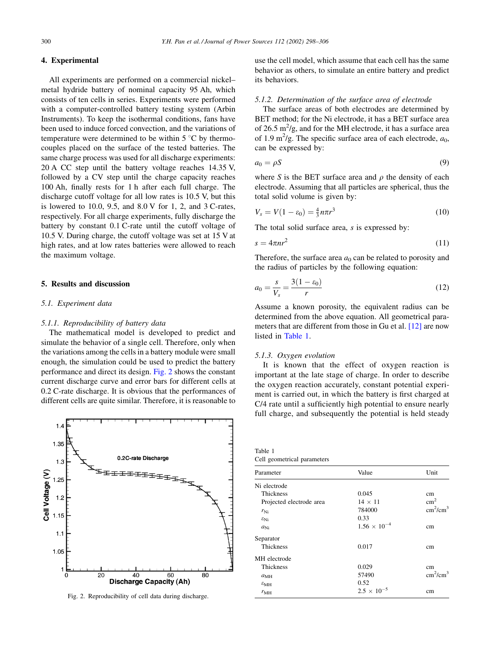# 4. Experimental

All experiments are performed on a commercial nickel– metal hydride battery of nominal capacity 95 Ah, which consists of ten cells in series. Experiments were performed with a computer-controlled battery testing system (Arbin Instruments). To keep the isothermal conditions, fans have been used to induce forced convection, and the variations of temperature were determined to be within  $5^{\circ}$ C by thermocouples placed on the surface of the tested batteries. The same charge process was used for all discharge experiments: 20 A CC step until the battery voltage reaches 14.35 V, followed by a CV step until the charge capacity reaches 100 Ah, finally rests for 1 h after each full charge. The discharge cutoff voltage for all low rates is 10.5 V, but this is lowered to 10.0, 9.5, and 8.0 V for 1, 2, and 3 C-rates, respectively. For all charge experiments, fully discharge the battery by constant 0.1 C-rate until the cutoff voltage of 10.5 V. During charge, the cutoff voltage was set at 15 V at high rates, and at low rates batteries were allowed to reach the maximum voltage.

#### 5. Results and discussion

# 5.1. Experiment data

#### 5.1.1. Reproducibility of battery data

The mathematical model is developed to predict and simulate the behavior of a single cell. Therefore, only when the variations among the cells in a battery module were small enough, the simulation could be used to predict the battery performance and direct its design. Fig. 2 shows the constant current discharge curve and error bars for different cells at 0.2 C-rate discharge. It is obvious that the performances of different cells are quite similar. Therefore, it is reasonable to



Fig. 2. Reproducibility of cell data during discharge.

use the cell model, which assume that each cell has the same behavior as others, to simulate an entire battery and predict its behaviors.

# 5.1.2. Determination of the surface area of electrode

The surface areas of both electrodes are determined by BET method; for the Ni electrode, it has a BET surface area of 26.5  $\text{m}^2/\text{g}$ , and for the MH electrode, it has a surface area of 1.9 m<sup>2</sup>/g. The specific surface area of each electrode,  $a_0$ , can be expressed by:

$$
a_0 = \rho S \tag{9}
$$

where S is the BET surface area and  $\rho$  the density of each electrode. Assuming that all particles are spherical, thus the total solid volume is given by:

$$
V_s = V(1 - \varepsilon_0) = \frac{4}{3} n \pi r^3
$$
\n(10)

The total solid surface area, s is expressed by:

$$
s = 4\pi n r^2 \tag{11}
$$

Therefore, the surface area  $a_0$  can be related to porosity and the radius of particles by the following equation:

$$
a_0 = \frac{s}{V_s} = \frac{3(1 - \varepsilon_0)}{r}
$$
 (12)

Assume a known porosity, the equivalent radius can be determined from the above equation. All geometrical para-meters that are different from those in Gu et al. [\[12\]](#page-8-0) are now listed in Table 1.

#### 5.1.3. Oxygen evolution

It is known that the effect of oxygen reaction is important at the late stage of charge. In order to describe the oxygen reaction accurately, constant potential experiment is carried out, in which the battery is first charged at C/4 rate until a sufficiently high potential to ensure nearly full charge, and subsequently the potential is held steady

| Table 1<br>Cell geometrical parameters |                       |                                  |
|----------------------------------------|-----------------------|----------------------------------|
| Parameter                              | Value                 | Unit                             |
| Ni electrode                           |                       |                                  |
| Thickness                              | 0.045                 | cm                               |
| Projected electrode area               | $14 \times 11$        | $\text{cm}^2$                    |
| $r_{\rm Ni}$                           | 784000                | $\text{cm}^2/\text{cm}^3$        |
| $\varepsilon_{\rm Ni}$                 | 0.33                  |                                  |
| $a_{\rm Ni}$                           | $1.56 \times 10^{-4}$ | cm                               |
| Separator                              |                       |                                  |
| <b>Thickness</b>                       | 0.017                 | cm                               |
| MH electrode                           |                       |                                  |
| <b>Thickness</b>                       | 0.029                 | <sub>cm</sub>                    |
| $a_{\text{MH}}$                        | 57490                 | cm <sup>2</sup> /cm <sup>3</sup> |
| $\varepsilon_{\rm MH}$                 | 0.52                  |                                  |
| $r_{\text{MH}}$                        | $2.5 \times 10^{-5}$  | cm                               |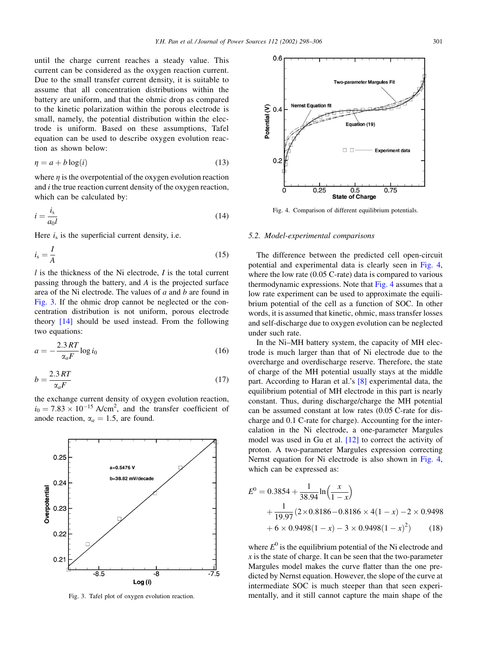until the charge current reaches a steady value. This current can be considered as the oxygen reaction current. Due to the small transfer current density, it is suitable to assume that all concentration distributions within the battery are uniform, and that the ohmic drop as compared to the kinetic polarization within the porous electrode is small, namely, the potential distribution within the electrode is uniform. Based on these assumptions, Tafel equation can be used to describe oxygen evolution reaction as shown below:

$$
\eta = a + b \log(i) \tag{13}
$$

where  $\eta$  is the overpotential of the oxygen evolution reaction and i the true reaction current density of the oxygen reaction, which can be calculated by:

$$
i = \frac{i_s}{a_0 l} \tag{14}
$$

Here  $i<sub>s</sub>$  is the superficial current density, i.e.

$$
i_s = \frac{I}{A} \tag{15}
$$

 $l$  is the thickness of the Ni electrode,  $I$  is the total current passing through the battery, and A is the projected surface area of the Ni electrode. The values of  $a$  and  $b$  are found in Fig. 3. If the ohmic drop cannot be neglected or the concentration distribution is not uniform, porous electrode theory [\[14\]](#page-8-0) should be used instead. From the following two equations:

$$
a = -\frac{2.3RT}{\alpha_a F} \log i_0 \tag{16}
$$

$$
b = \frac{2.3RT}{\alpha_a F} \tag{17}
$$

the exchange current density of oxygen evolution reaction,  $i_0 = 7.83 \times 10^{-15}$  A/cm<sup>2</sup>, and the transfer coefficient of anode reaction,  $\alpha_a = 1.5$ , are found.



 $0.6$ **Two-parameter Marquies Fit** Potential  $($ V $)$ <br>Potential  $($ **Nernst Equation** Equation (19)  $\Box$  $\Box$ **Experiment data**  $0.2$ 0.5<br>State of Charge  $0.25$ 0.75

Fig. 4. Comparison of different equilibrium potentials.

#### 5.2. Model-experimental comparisons

The difference between the predicted cell open-circuit potential and experimental data is clearly seen in Fig. 4, where the low rate (0.05 C-rate) data is compared to various thermodynamic expressions. Note that Fig. 4 assumes that a low rate experiment can be used to approximate the equilibrium potential of the cell as a function of SOC. In other words, it is assumed that kinetic, ohmic, mass transfer losses and self-discharge due to oxygen evolution can be neglected under such rate.

In the Ni–MH battery system, the capacity of MH electrode is much larger than that of Ni electrode due to the overcharge and overdischarge reserve. Therefore, the state of charge of the MH potential usually stays at the middle part. According to Haran et al.'s [\[8\]](#page-8-0) experimental data, the equilibrium potential of MH electrode in this part is nearly constant. Thus, during discharge/charge the MH potential can be assumed constant at low rates (0.05 C-rate for discharge and 0.1 C-rate for charge). Accounting for the intercalation in the Ni electrode, a one-parameter Margules model was used in Gu et al. [\[12\]](#page-8-0) to correct the activity of proton. A two-parameter Margules expression correcting Nernst equation for Ni electrode is also shown in Fig. 4, which can be expressed as:

$$
E^{0} = 0.3854 + \frac{1}{38.94} \ln\left(\frac{x}{1-x}\right)
$$
  
+ 
$$
\frac{1}{19.97} (2 \times 0.8186 - 0.8186 \times 4(1-x) - 2 \times 0.9498
$$
  
+ 
$$
6 \times 0.9498(1-x) - 3 \times 0.9498(1-x)^{2})
$$
(18)

where  $E^0$  is the equilibrium potential of the Ni electrode and  $x$  is the state of charge. It can be seen that the two-parameter Margules model makes the curve flatter than the one predicted by Nernst equation. However, the slope of the curve at intermediate SOC is much steeper than that seen experi-Fig. 3. Tafel plot of oxygen evolution reaction. mentally, and it still cannot capture the main shape of the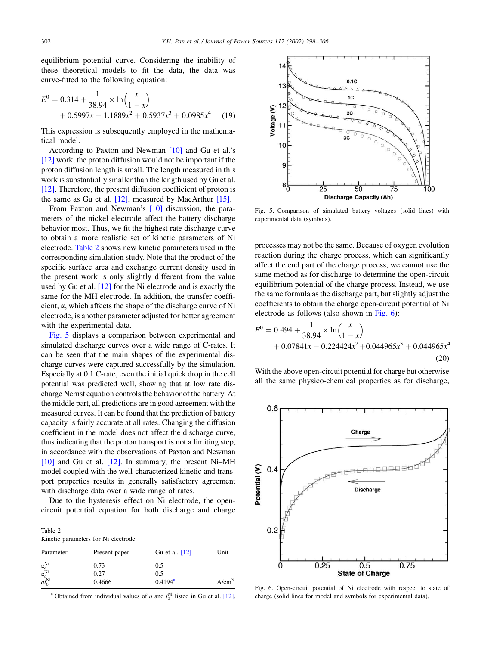equilibrium potential curve. Considering the inability of these theoretical models to fit the data, the data was curve-fitted to the following equation:

$$
E^{0} = 0.314 + \frac{1}{38.94} \times \ln\left(\frac{x}{1-x}\right) + 0.5997x - 1.1889x^{2} + 0.5937x^{3} + 0.0985x^{4}
$$
 (19)

This expression is subsequently employed in the mathematical model.

According to Paxton and Newman [\[10\]](#page-8-0) and Gu et al.'s [\[12\]](#page-8-0) work, the proton diffusion would not be important if the proton diffusion length is small. The length measured in this work is substantially smaller than the length used by Gu et al. [\[12\]](#page-8-0). Therefore, the present diffusion coefficient of proton is the same as Gu et al.  $[12]$ , measured by MacArthur  $[15]$ .

From Paxton and Newman's [\[10\]](#page-8-0) discussion, the parameters of the nickel electrode affect the battery discharge behavior most. Thus, we fit the highest rate discharge curve to obtain a more realistic set of kinetic parameters of Ni electrode. Table 2 shows new kinetic parameters used in the corresponding simulation study. Note that the product of the specific surface area and exchange current density used in the present work is only slightly different from the value used by Gu et al. [\[12\]](#page-8-0) for the Ni electrode and is exactly the same for the MH electrode. In addition, the transfer coefficient,  $\alpha$ , which affects the shape of the discharge curve of Ni electrode, is another parameter adjusted for better agreement with the experimental data.

Fig. 5 displays a comparison between experimental and simulated discharge curves over a wide range of C-rates. It can be seen that the main shapes of the experimental discharge curves were captured successfully by the simulation. Especially at 0.1 C-rate, even the initial quick drop in the cell potential was predicted well, showing that at low rate discharge Nernst equation controls the behavior of the battery. At the middle part, all predictions are in good agreement with the measured curves. It can be found that the prediction of battery capacity is fairly accurate at all rates. Changing the diffusion coefficient in the model does not affect the discharge curve, thus indicating that the proton transport is not a limiting step, in accordance with the observations of Paxton and Newman [\[10\]](#page-8-0) and Gu et al. [\[12\].](#page-8-0) In summary, the present Ni–MH model coupled with the well-characterized kinetic and transport properties results in generally satisfactory agreement with discharge data over a wide range of rates.

Due to the hysteresis effect on Ni electrode, the opencircuit potential equation for both discharge and charge

Table 2 Kinetic parameters for Ni electrode

| 0.5<br>0.5 | $A/cm^3$         |
|------------|------------------|
|            | $0.4194^{\rm a}$ |

<sup>a</sup> Obtained from individual values of a and  $i_0^{\text{Ni}}$  listed in Gu et al. [\[12\].](#page-8-0)



Fig. 5. Comparison of simulated battery voltages (solid lines) with experimental data (symbols).

processes may not be the same. Because of oxygen evolution reaction during the charge process, which can significantly affect the end part of the charge process, we cannot use the same method as for discharge to determine the open-circuit equilibrium potential of the charge process. Instead, we use the same formula as the discharge part, but slightly adjust the coefficients to obtain the charge open-circuit potential of Ni electrode as follows (also shown in Fig. 6):

$$
E^{0} = 0.494 + \frac{1}{38.94} \times \ln\left(\frac{x}{1-x}\right)
$$
  
+ 0.07841x - 0.224424x<sup>2</sup> + 0.044965x<sup>3</sup> + 0.044965x<sup>4</sup> (20)

With the above open-circuit potential for charge but otherwise all the same physico-chemical properties as for discharge,



Fig. 6. Open-circuit potential of Ni electrode with respect to state of charge (solid lines for model and symbols for experimental data).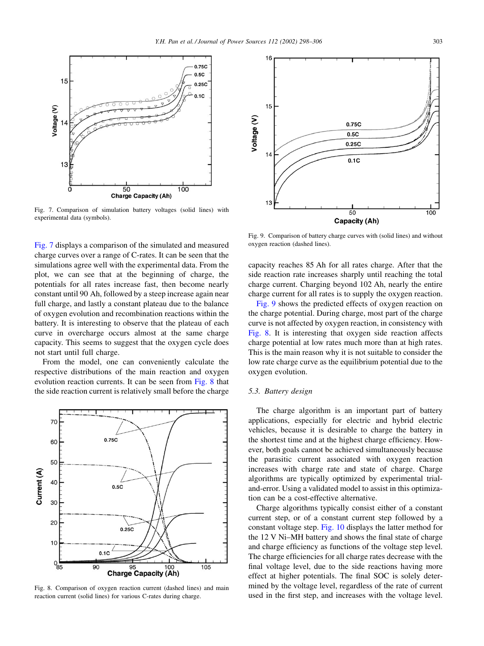

Fig. 7. Comparison of simulation battery voltages (solid lines) with experimental data (symbols).

Fig. 7 displays a comparison of the simulated and measured charge curves over a range of C-rates. It can be seen that the simulations agree well with the experimental data. From the plot, we can see that at the beginning of charge, the potentials for all rates increase fast, then become nearly constant until 90 Ah, followed by a steep increase again near full charge, and lastly a constant plateau due to the balance of oxygen evolution and recombination reactions within the battery. It is interesting to observe that the plateau of each curve in overcharge occurs almost at the same charge capacity. This seems to suggest that the oxygen cycle does not start until full charge.

From the model, one can conveniently calculate the respective distributions of the main reaction and oxygen evolution reaction currents. It can be seen from Fig. 8 that the side reaction current is relatively small before the charge



Fig. 8. Comparison of oxygen reaction current (dashed lines) and main reaction current (solid lines) for various C-rates during charge.



Fig. 9. Comparison of battery charge curves with (solid lines) and without oxygen reaction (dashed lines).

capacity reaches 85 Ah for all rates charge. After that the side reaction rate increases sharply until reaching the total charge current. Charging beyond 102 Ah, nearly the entire charge current for all rates is to supply the oxygen reaction.

Fig. 9 shows the predicted effects of oxygen reaction on the charge potential. During charge, most part of the charge curve is not affected by oxygen reaction, in consistency with Fig. 8. It is interesting that oxygen side reaction affects charge potential at low rates much more than at high rates. This is the main reason why it is not suitable to consider the low rate charge curve as the equilibrium potential due to the oxygen evolution.

#### 5.3. Battery design

The charge algorithm is an important part of battery applications, especially for electric and hybrid electric vehicles, because it is desirable to charge the battery in the shortest time and at the highest charge efficiency. However, both goals cannot be achieved simultaneously because the parasitic current associated with oxygen reaction increases with charge rate and state of charge. Charge algorithms are typically optimized by experimental trialand-error. Using a validated model to assist in this optimization can be a cost-effective alternative.

Charge algorithms typically consist either of a constant current step, or of a constant current step followed by a constant voltage step. [Fig. 10](#page-6-0) displays the latter method for the 12 V Ni–MH battery and shows the final state of charge and charge efficiency as functions of the voltage step level. The charge efficiencies for all charge rates decrease with the final voltage level, due to the side reactions having more effect at higher potentials. The final SOC is solely determined by the voltage level, regardless of the rate of current used in the first step, and increases with the voltage level.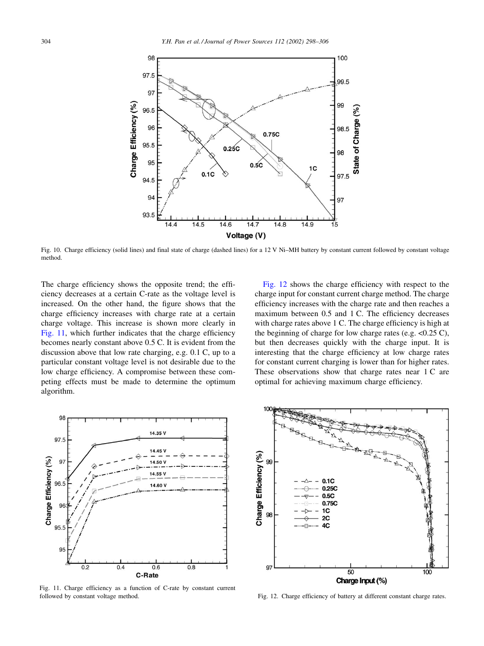<span id="page-6-0"></span>

Fig. 10. Charge efficiency (solid lines) and final state of charge (dashed lines) for a 12 V Ni–MH battery by constant current followed by constant voltage method.

The charge efficiency shows the opposite trend; the efficiency decreases at a certain C-rate as the voltage level is increased. On the other hand, the figure shows that the charge efficiency increases with charge rate at a certain charge voltage. This increase is shown more clearly in Fig. 11, which further indicates that the charge efficiency becomes nearly constant above 0.5 C. It is evident from the discussion above that low rate charging, e.g. 0.1 C, up to a particular constant voltage level is not desirable due to the low charge efficiency. A compromise between these competing effects must be made to determine the optimum algorithm.

Fig. 12 shows the charge efficiency with respect to the charge input for constant current charge method. The charge efficiency increases with the charge rate and then reaches a maximum between 0.5 and 1 C. The efficiency decreases with charge rates above 1 C. The charge efficiency is high at the beginning of charge for low charge rates (e.g.  $<0.25$  C), but then decreases quickly with the charge input. It is interesting that the charge efficiency at low charge rates for constant current charging is lower than for higher rates. These observations show that charge rates near 1 C are optimal for achieving maximum charge efficiency.



Fig. 11. Charge efficiency as a function of C-rate by constant current followed by constant voltage method. Fig. 12. Charge efficiency of battery at different constant charge rates.

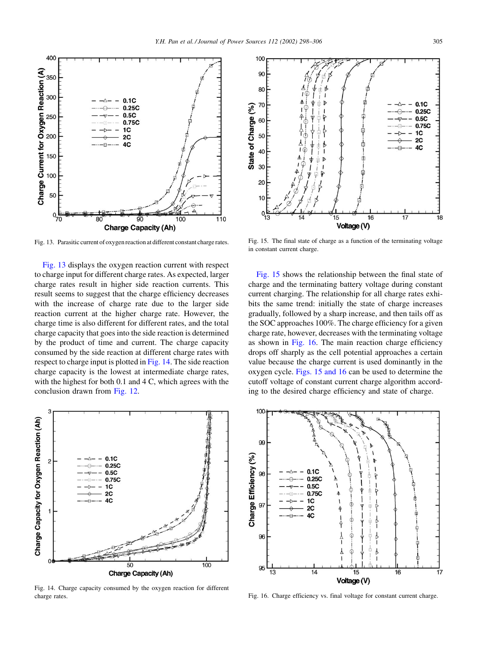

Fig. 13. Parasitic current of oxygen reaction at different constant charge rates.

Fig. 13 displays the oxygen reaction current with respect to charge input for different charge rates. As expected, larger charge rates result in higher side reaction currents. This result seems to suggest that the charge efficiency decreases with the increase of charge rate due to the larger side reaction current at the higher charge rate. However, the charge time is also different for different rates, and the total charge capacity that goes into the side reaction is determined by the product of time and current. The charge capacity consumed by the side reaction at different charge rates with respect to charge input is plotted in Fig. 14. The side reaction charge capacity is the lowest at intermediate charge rates, with the highest for both 0.1 and 4 C, which agrees with the conclusion drawn from [Fig. 12](#page-6-0).



Fig. 14. Charge capacity consumed by the oxygen reaction for different charge rates.



Fig. 15. The final state of charge as a function of the terminating voltage in constant current charge.

Fig. 15 shows the relationship between the final state of charge and the terminating battery voltage during constant current charging. The relationship for all charge rates exhibits the same trend: initially the state of charge increases gradually, followed by a sharp increase, and then tails off as the SOC approaches 100%. The charge efficiency for a given charge rate, however, decreases with the terminating voltage as shown in Fig. 16. The main reaction charge efficiency drops off sharply as the cell potential approaches a certain value because the charge current is used dominantly in the oxygen cycle. Figs. 15 and 16 can be used to determine the cutoff voltage of constant current charge algorithm according to the desired charge efficiency and state of charge.



Fig. 16. Charge efficiency vs. final voltage for constant current charge.